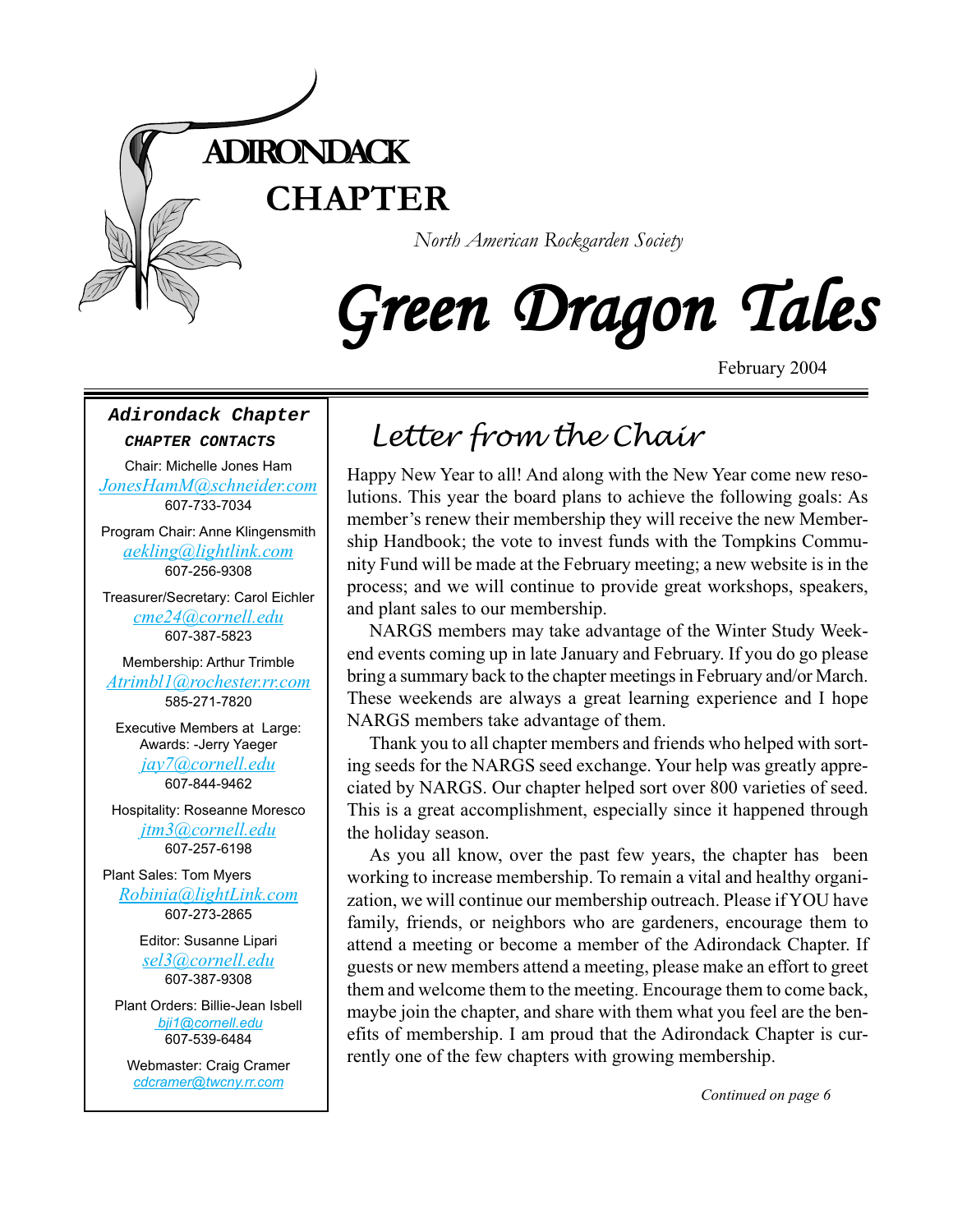

# Green Dragon Tales

February 2004

#### **Adirondack Chapter**

#### **CHAPTER CONTACTS**

Chair: Michelle Jones Ham *[JonesHamM@schneider.com](Mailto:JonesHamM@schneider.com)* 607-733-7034

Program Chair: Anne Klingensmith *[aekling@lightlink.com](mailto:aekling@lightlink.com)* 607-256-9308

Treasurer/Secretary: Carol Eichler *[cme24@cornell.edu](mailto:cme24@cornell.ed)* 607-387-5823

Membership: Arthur Trimble *[Atrimbl1@rochester.rr.com](mailto:Atrimbl1@rochester.rr.com)* 585-271-7820

Executive Members at Large: Awards: -Jerry Yaeger *[jay7@cornell.edu](mailto:jay7@cornell.edu)*

607-844-9462

Hospitality: Roseanne Moresco *[jtm3@cornell.edu](mailto:jtm3@cornell.edu)* 607-257-6198

Plant Sales: Tom Myers *[Robinia@lightLink.com](mailto:Robinia@lightLink.com)* 607-273-2865

> Editor: Susanne Lipari *[sel3@cornell.edu](mailto:sel3@cornell.edu)* 607-387-9308

Plant Orders: Billie-Jean Isbell  *[bji1@cornell.edu](mailto: bji1@cornell.edu|)* 607-539-6484

Webmaster: Craig Cramer *[cdcramer@twcny.rr.com](mailto:cdcramer@twcny.rr.com)*

## *Letter from the Chair*

Happy New Year to all! And along with the New Year come new resolutions. This year the board plans to achieve the following goals: As member's renew their membership they will receive the new Membership Handbook; the vote to invest funds with the Tompkins Community Fund will be made at the February meeting; a new website is in the process; and we will continue to provide great workshops, speakers, and plant sales to our membership.

NARGS members may take advantage of the Winter Study Weekend events coming up in late January and February. If you do go please bring a summary back to the chapter meetings in February and/or March. These weekends are always a great learning experience and I hope NARGS members take advantage of them.

Thank you to all chapter members and friends who helped with sorting seeds for the NARGS seed exchange. Your help was greatly appreciated by NARGS. Our chapter helped sort over 800 varieties of seed. This is a great accomplishment, especially since it happened through the holiday season.

As you all know, over the past few years, the chapter has been working to increase membership. To remain a vital and healthy organization, we will continue our membership outreach. Please if YOU have family, friends, or neighbors who are gardeners, encourage them to attend a meeting or become a member of the Adirondack Chapter. If guests or new members attend a meeting, please make an effort to greet them and welcome them to the meeting. Encourage them to come back, maybe join the chapter, and share with them what you feel are the benefits of membership. I am proud that the Adirondack Chapter is currently one of the few chapters with growing membership.

*Continued on page 6*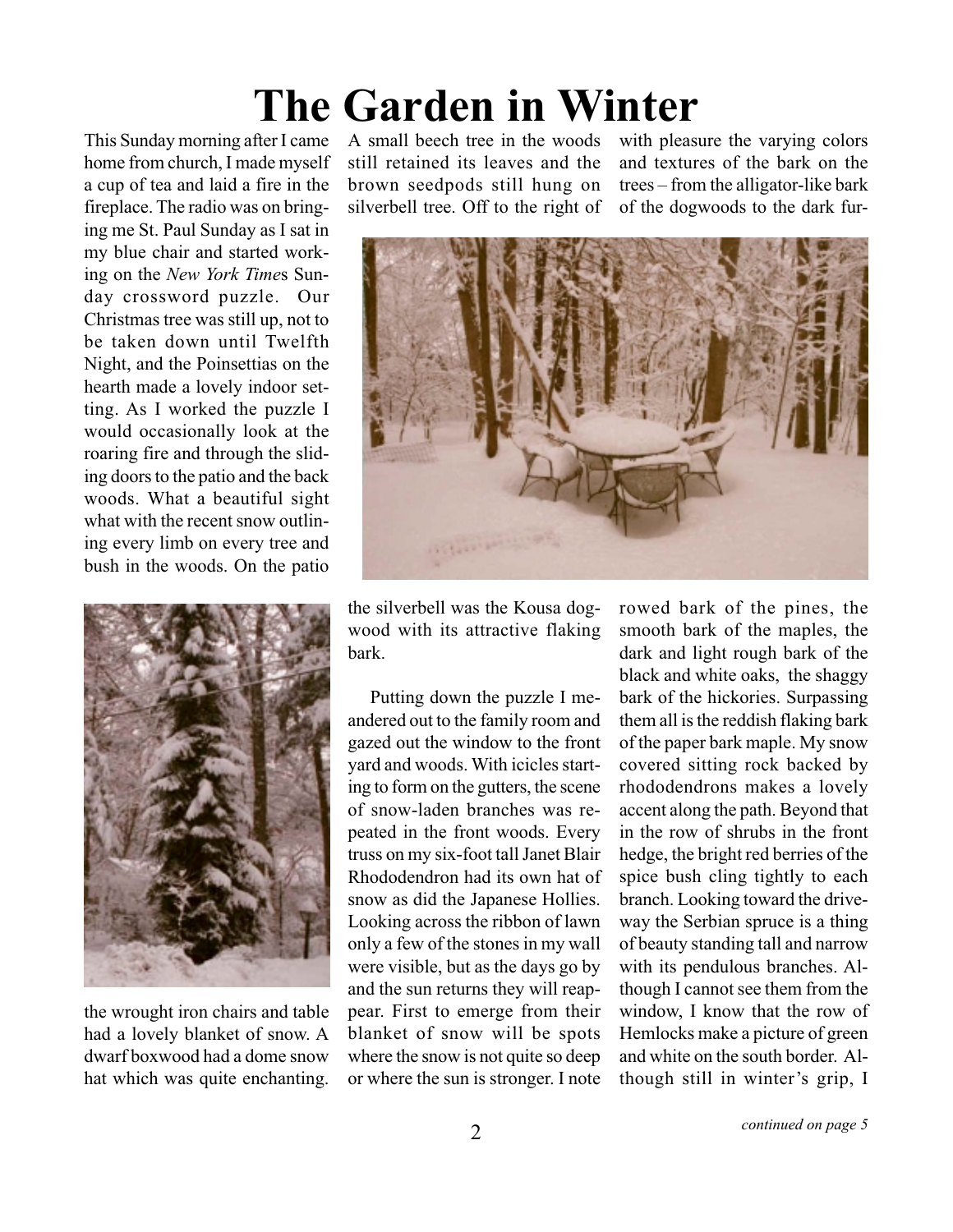## **The Garden in Winter**

This Sunday morning after I came home from church, I made myself a cup of tea and laid a fire in the fireplace. The radio was on bringing me St. Paul Sunday as I sat in my blue chair and started working on the *New York Time*s Sunday crossword puzzle. Our Christmas tree was still up, not to be taken down until Twelfth Night, and the Poinsettias on the hearth made a lovely indoor setting. As I worked the puzzle I would occasionally look at the roaring fire and through the sliding doors to the patio and the back woods. What a beautiful sight what with the recent snow outlining every limb on every tree and bush in the woods. On the patio



the wrought iron chairs and table had a lovely blanket of snow. A dwarf boxwood had a dome snow hat which was quite enchanting.

A small beech tree in the woods still retained its leaves and the brown seedpods still hung on silverbell tree. Off to the right of

with pleasure the varying colors and textures of the bark on the trees – from the alligator-like bark of the dogwoods to the dark fur-



the silverbell was the Kousa dogwood with its attractive flaking bark.

Putting down the puzzle I meandered out to the family room and gazed out the window to the front yard and woods. With icicles starting to form on the gutters, the scene of snow-laden branches was repeated in the front woods. Every truss on my six-foot tall Janet Blair Rhododendron had its own hat of snow as did the Japanese Hollies. Looking across the ribbon of lawn only a few of the stones in my wall were visible, but as the days go by and the sun returns they will reappear. First to emerge from their blanket of snow will be spots where the snow is not quite so deep or where the sun is stronger. I note

rowed bark of the pines, the smooth bark of the maples, the dark and light rough bark of the black and white oaks, the shaggy bark of the hickories. Surpassing them all is the reddish flaking bark of the paper bark maple. My snow covered sitting rock backed by rhododendrons makes a lovely accent along the path. Beyond that in the row of shrubs in the front hedge, the bright red berries of the spice bush cling tightly to each branch. Looking toward the driveway the Serbian spruce is a thing of beauty standing tall and narrow with its pendulous branches. Although I cannot see them from the window, I know that the row of Hemlocks make a picture of green and white on the south border. Although still in winter's grip, I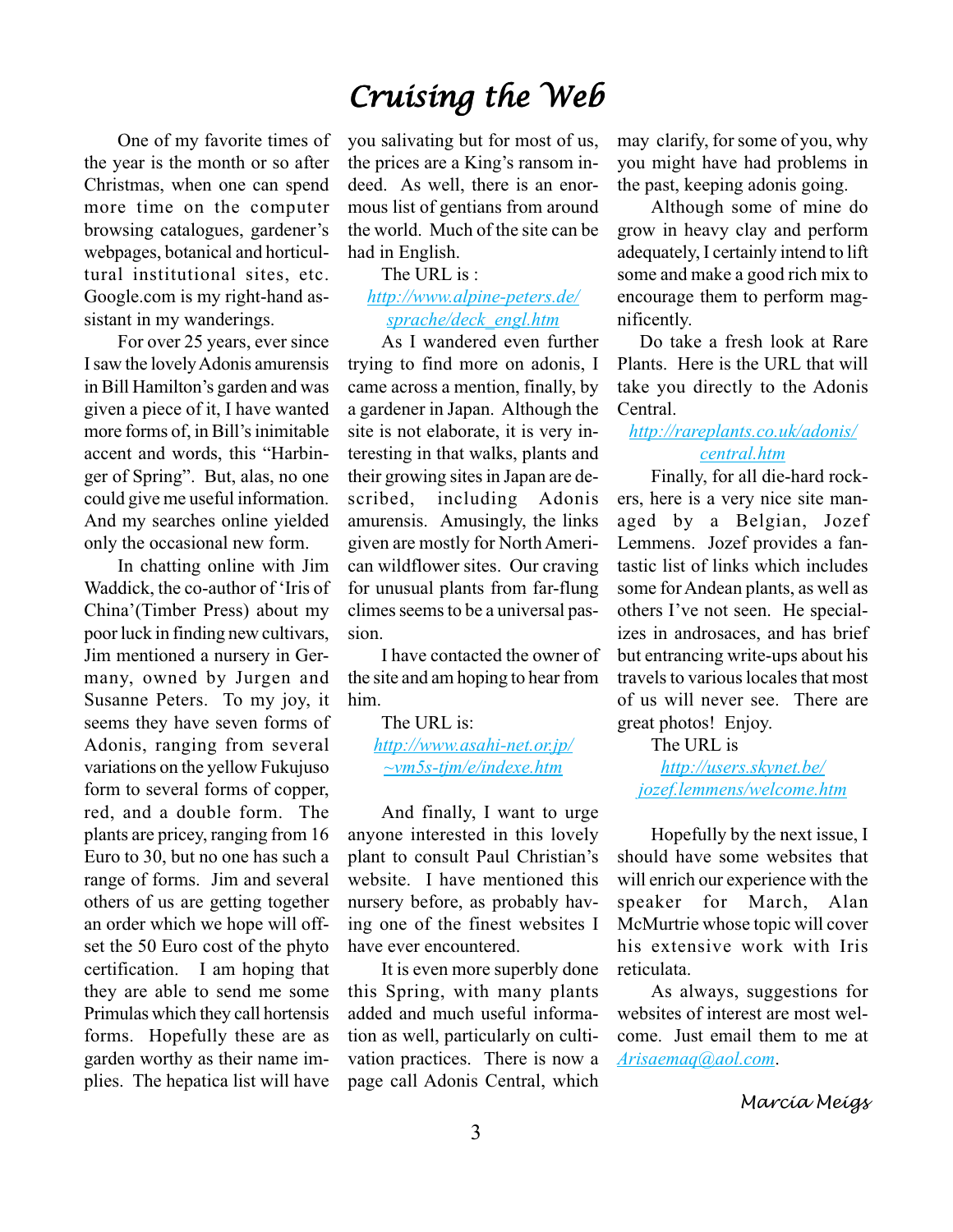## *Cruising the Web*

One of my favorite times of the year is the month or so after Christmas, when one can spend more time on the computer browsing catalogues, gardener's webpages, botanical and horticultural institutional sites, etc. Google.com is my right-hand assistant in my wanderings.

For over 25 years, ever since I saw the lovely Adonis amurensis in Bill Hamilton's garden and was given a piece of it, I have wanted more forms of, in Bill's inimitable accent and words, this "Harbinger of Spring". But, alas, no one could give me useful information. And my searches online yielded only the occasional new form.

In chatting online with Jim Waddick, the co-author of 'Iris of China'(Timber Press) about my poor luck in finding new cultivars, Jim mentioned a nursery in Germany, owned by Jurgen and Susanne Peters. To my joy, it seems they have seven forms of Adonis, ranging from several variations on the yellow Fukujuso form to several forms of copper, red, and a double form. The plants are pricey, ranging from 16 Euro to 30, but no one has such a range of forms. Jim and several others of us are getting together an order which we hope will offset the 50 Euro cost of the phyto certification. I am hoping that they are able to send me some Primulas which they call hortensis forms. Hopefully these are as garden worthy as their name implies. The hepatica list will have

you salivating but for most of us, the prices are a King's ransom indeed. As well, there is an enormous list of gentians from around the world. Much of the site can be had in English.

### The URL is :

## *[http://www.alpine-peters.de/](http://www.alpine-peters.de/sprache/deck_engl.htm) [sprache/deck\\_engl.htm](http://www.alpine-peters.de/sprache/deck_engl.htm)*

As I wandered even further trying to find more on adonis, I came across a mention, finally, by a gardener in Japan. Although the site is not elaborate, it is very interesting in that walks, plants and their growing sites in Japan are described, including Adonis amurensis. Amusingly, the links given are mostly for North American wildflower sites. Our craving for unusual plants from far-flung climes seems to be a universal passion.

I have contacted the owner of the site and am hoping to hear from him.

> The URL is: *[http://www.asahi-net.or.jp/]( http://www.asahi-net.or.jp/~vm5s-tjm/e/indexe.htm) [~vm5s-tjm/e/indexe.htm]( http://www.asahi-net.or.jp/~vm5s-tjm/e/indexe.htm)*

And finally, I want to urge anyone interested in this lovely plant to consult Paul Christian's website. I have mentioned this nursery before, as probably having one of the finest websites I have ever encountered.

It is even more superbly done this Spring, with many plants added and much useful information as well, particularly on cultivation practices. There is now a page call Adonis Central, which

may clarify, for some of you, why you might have had problems in the past, keeping adonis going.

Although some of mine do grow in heavy clay and perform adequately, I certainly intend to lift some and make a good rich mix to encourage them to perform magnificently.

Do take a fresh look at Rare Plants. Here is the URL that will take you directly to the Adonis Central.

## *[http://rareplants.co.uk/adonis/](http://rareplants.co.uk/adonis/central.htm) [central.htm](http://rareplants.co.uk/adonis/central.htm)*

Finally, for all die-hard rockers, here is a very nice site managed by a Belgian, Jozef Lemmens. Jozef provides a fantastic list of links which includes some for Andean plants, as well as others I've not seen. He specializes in androsaces, and has brief but entrancing write-ups about his travels to various locales that most of us will never see. There are great photos! Enjoy.

The URL is *[http://users.skynet.be/](http://users.skynet.be/jozef.lemmens/welcome.htm) [jozef.lemmens/welcome.htm](http://users.skynet.be/jozef.lemmens/welcome.htm)*

Hopefully by the next issue, I should have some websites that will enrich our experience with the speaker for March, Alan McMurtrie whose topic will cover his extensive work with Iris reticulata.

As always, suggestions for websites of interest are most welcome. Just email them to me at *[Arisaemaq@aol.com](mailto:Arisaemaq@aol.com)*.

*Marcia Meigs*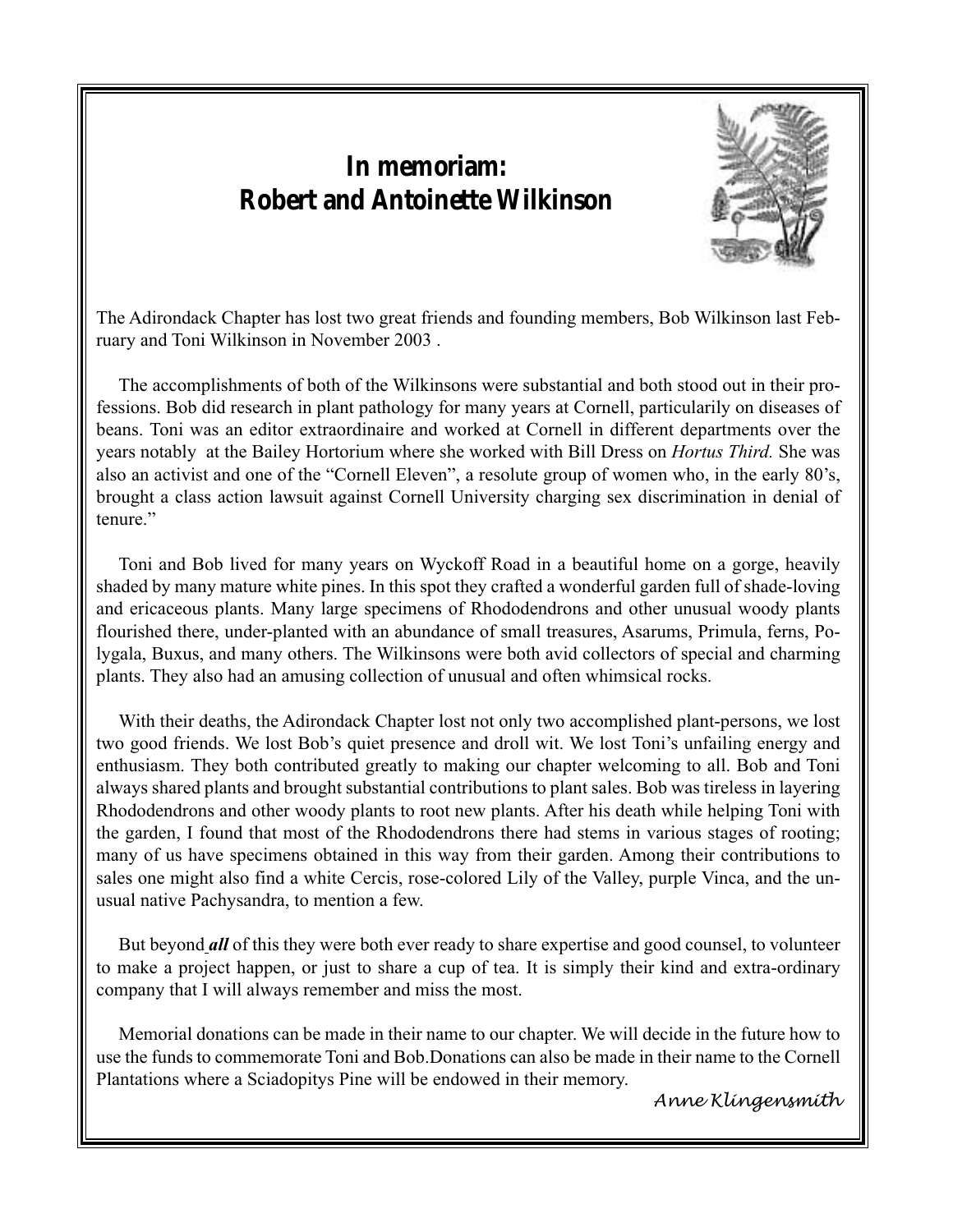## **In memoriam: Robert and Antoinette Wilkinson**



The Adirondack Chapter has lost two great friends and founding members, Bob Wilkinson last February and Toni Wilkinson in November 2003 .

The accomplishments of both of the Wilkinsons were substantial and both stood out in their professions. Bob did research in plant pathology for many years at Cornell, particularily on diseases of beans. Toni was an editor extraordinaire and worked at Cornell in different departments over the years notably at the Bailey Hortorium where she worked with Bill Dress on *Hortus Third.* She was also an activist and one of the "Cornell Eleven", a resolute group of women who, in the early 80's, brought a class action lawsuit against Cornell University charging sex discrimination in denial of tenure."

Toni and Bob lived for many years on Wyckoff Road in a beautiful home on a gorge, heavily shaded by many mature white pines. In this spot they crafted a wonderful garden full of shade-loving and ericaceous plants. Many large specimens of Rhododendrons and other unusual woody plants flourished there, under-planted with an abundance of small treasures, Asarums, Primula, ferns, Polygala, Buxus, and many others. The Wilkinsons were both avid collectors of special and charming plants. They also had an amusing collection of unusual and often whimsical rocks.

With their deaths, the Adirondack Chapter lost not only two accomplished plant-persons, we lost two good friends. We lost Bob's quiet presence and droll wit. We lost Toni's unfailing energy and enthusiasm. They both contributed greatly to making our chapter welcoming to all. Bob and Toni always shared plants and brought substantial contributions to plant sales. Bob was tireless in layering Rhododendrons and other woody plants to root new plants. After his death while helping Toni with the garden, I found that most of the Rhododendrons there had stems in various stages of rooting; many of us have specimens obtained in this way from their garden. Among their contributions to sales one might also find a white Cercis, rose-colored Lily of the Valley, purple Vinca, and the unusual native Pachysandra, to mention a few.

But beyond *all* of this they were both ever ready to share expertise and good counsel, to volunteer to make a project happen, or just to share a cup of tea. It is simply their kind and extra-ordinary company that I will always remember and miss the most.

Memorial donations can be made in their name to our chapter. We will decide in the future how to use the funds to commemorate Toni and Bob.Donations can also be made in their name to the Cornell Plantations where a Sciadopitys Pine will be endowed in their memory.

4

*Anne Klingensmith*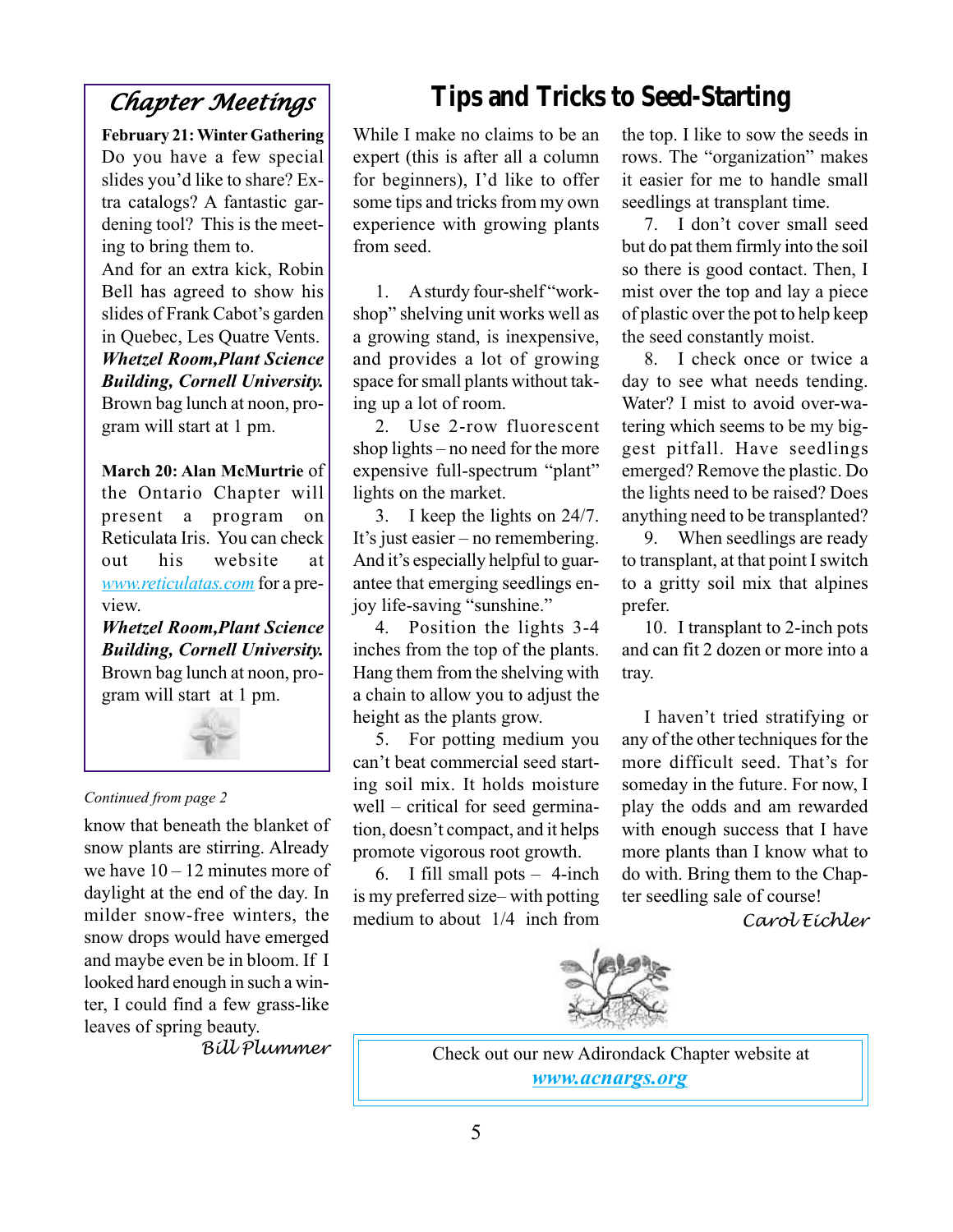## *Chapter Meetings Chapter*

**February 21: Winter Gathering** Do you have a few special slides you'd like to share? Extra catalogs? A fantastic gardening tool? This is the meeting to bring them to.

And for an extra kick, Robin Bell has agreed to show his slides of Frank Cabot's garden in Quebec, Les Quatre Vents. *Whetzel Room,Plant Science Building, Cornell University.* Brown bag lunch at noon, program will start at 1 pm.

**March 20: Alan McMurtrie** of the Ontario Chapter will present a program on Reticulata Iris. You can check out his website at *[www.reticulatas.com](http://www.reticulatas.com)* for a preview.

*Whetzel Room,Plant Science Building, Cornell University.* Brown bag lunch at noon, program will start at 1 pm.



#### *Continued from page 2*

know that beneath the blanket of snow plants are stirring. Already we have  $10 - 12$  minutes more of daylight at the end of the day. In milder snow-free winters, the snow drops would have emerged and maybe even be in bloom. If I looked hard enough in such a winter, I could find a few grass-like leaves of spring beauty.

*Bill Plummer*

## **Tips and Tricks to Seed-Starting**

While I make no claims to be an expert (this is after all a column for beginners), I'd like to offer some tips and tricks from my own experience with growing plants from seed.

1.A sturdy four-shelf "workshop" shelving unit works well as a growing stand, is inexpensive, and provides a lot of growing space for small plants without taking up a lot of room.

2. Use 2-row fluorescent shop lights – no need for the more expensive full-spectrum "plant" lights on the market.

3.I keep the lights on 24/7. It's just easier – no remembering. And it's especially helpful to guarantee that emerging seedlings enjoy life-saving "sunshine."

4.Position the lights 3-4 inches from the top of the plants. Hang them from the shelving with a chain to allow you to adjust the height as the plants grow.

5.For potting medium you can't beat commercial seed starting soil mix. It holds moisture well – critical for seed germination, doesn't compact, and it helps promote vigorous root growth.

6.I fill small pots – 4-inch is my preferred size– with potting medium to about 1/4 inch from the top. I like to sow the seeds in rows. The "organization" makes it easier for me to handle small seedlings at transplant time.

7.I don't cover small seed but do pat them firmly into the soil so there is good contact. Then, I mist over the top and lay a piece of plastic over the pot to help keep the seed constantly moist.

8.I check once or twice a day to see what needs tending. Water? I mist to avoid over-watering which seems to be my biggest pitfall. Have seedlings emerged? Remove the plastic. Do the lights need to be raised? Does anything need to be transplanted?

9.When seedlings are ready to transplant, at that point I switch to a gritty soil mix that alpines prefer.

10.I transplant to 2-inch pots and can fit 2 dozen or more into a tray.

I haven't tried stratifying or any of the other techniques for the more difficult seed. That's for someday in the future. For now, I play the odds and am rewarded with enough success that I have more plants than I know what to do with. Bring them to the Chapter seedling sale of course!

*Carol Eichler*



Check out our new Adirondack Chapter website at *[www.acnargs.org](http://www.acnargs.org)*